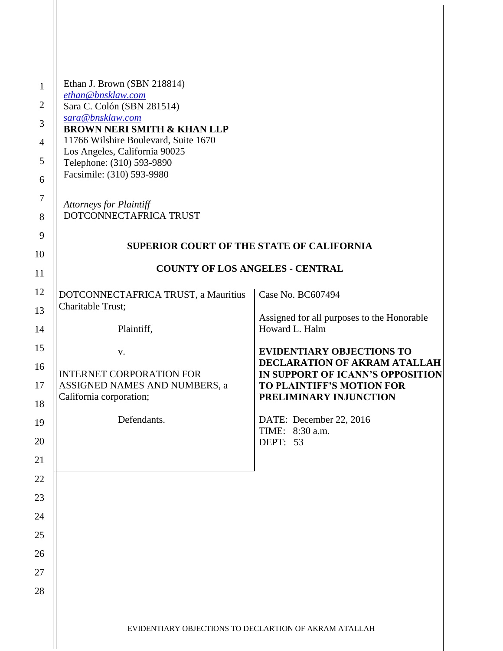| Ethan J. Brown (SBN 218814)<br>ethan@bnsklaw.com<br>Sara C. Colón (SBN 281514)<br>sara@bnsklaw.com<br><b>BROWN NERI SMITH &amp; KHAN LLP</b><br>11766 Wilshire Boulevard, Suite 1670<br>Los Angeles, California 90025 |                                                                                                                                                                    |
|-----------------------------------------------------------------------------------------------------------------------------------------------------------------------------------------------------------------------|--------------------------------------------------------------------------------------------------------------------------------------------------------------------|
| Telephone: (310) 593-9890<br>Facsimile: (310) 593-9980                                                                                                                                                                |                                                                                                                                                                    |
| <b>Attorneys for Plaintiff</b><br>DOTCONNECTAFRICA TRUST                                                                                                                                                              |                                                                                                                                                                    |
| <b>SUPERIOR COURT OF THE STATE OF CALIFORNIA</b>                                                                                                                                                                      |                                                                                                                                                                    |
| <b>COUNTY OF LOS ANGELES - CENTRAL</b>                                                                                                                                                                                |                                                                                                                                                                    |
| DOTCONNECTAFRICA TRUST, a Mauritius<br>Charitable Trust;                                                                                                                                                              | Case No. BC607494                                                                                                                                                  |
| Plaintiff,                                                                                                                                                                                                            | Assigned for all purposes to the Honorable<br>Howard L. Halm                                                                                                       |
| V.<br><b>INTERNET CORPORATION FOR</b><br>ASSIGNED NAMES AND NUMBERS, a<br>California corporation;                                                                                                                     | <b>EVIDENTIARY OBJECTIONS TO</b><br>DECLARATION OF AKRAM ATALLAH<br>IN SUPPORT OF ICANN'S OPPOSITION<br><b>TO PLAINTIFF'S MOTION FOR</b><br>PRELIMINARY INJUNCTION |
| Defendants.                                                                                                                                                                                                           | DATE: December 22, 2016<br>TIME: 8:30 a.m.<br>DEPT: 53                                                                                                             |
|                                                                                                                                                                                                                       |                                                                                                                                                                    |
|                                                                                                                                                                                                                       |                                                                                                                                                                    |
|                                                                                                                                                                                                                       |                                                                                                                                                                    |
|                                                                                                                                                                                                                       |                                                                                                                                                                    |
| EVIDENTIARY OBJECTIONS TO DECLARTION OF AKRAM ATALLAH                                                                                                                                                                 |                                                                                                                                                                    |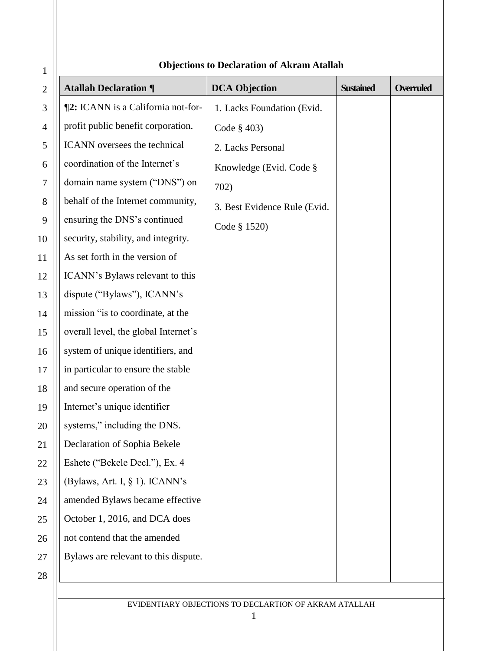| $\mathbf{1}$   | Objections to Declaration of Akrain Atanan |                              |                  |                  |
|----------------|--------------------------------------------|------------------------------|------------------|------------------|
| $\overline{2}$ | <b>Atallah Declaration ¶</b>               | <b>DCA Objection</b>         | <b>Sustained</b> | <b>Overruled</b> |
| $\mathfrak{Z}$ | <b>[2:</b> ICANN is a California not-for-  | 1. Lacks Foundation (Evid.   |                  |                  |
| $\overline{4}$ | profit public benefit corporation.         | Code $\S$ 403)               |                  |                  |
| 5              | ICANN oversees the technical               | 2. Lacks Personal            |                  |                  |
| 6              | coordination of the Internet's             | Knowledge (Evid. Code §      |                  |                  |
| $\tau$         | domain name system ("DNS") on              | 702)                         |                  |                  |
| 8              | behalf of the Internet community,          | 3. Best Evidence Rule (Evid. |                  |                  |
| 9              | ensuring the DNS's continued               | Code § 1520)                 |                  |                  |
| 10             | security, stability, and integrity.        |                              |                  |                  |
| 11             | As set forth in the version of             |                              |                  |                  |
| 12             | ICANN's Bylaws relevant to this            |                              |                  |                  |
| 13             | dispute ("Bylaws"), ICANN's                |                              |                  |                  |
| 14             | mission "is to coordinate, at the          |                              |                  |                  |
| 15             | overall level, the global Internet's       |                              |                  |                  |
| 16             | system of unique identifiers, and          |                              |                  |                  |
| 17             | in particular to ensure the stable         |                              |                  |                  |
| 18             | and secure operation of the                |                              |                  |                  |
| 19             | Internet's unique identifier               |                              |                  |                  |
| 20             | systems," including the DNS.               |                              |                  |                  |
| 21             | Declaration of Sophia Bekele               |                              |                  |                  |
| 22             | Eshete ("Bekele Decl."), Ex. 4             |                              |                  |                  |
| 23             | (Bylaws, Art. I, § 1). ICANN's             |                              |                  |                  |
| 24             | amended Bylaws became effective            |                              |                  |                  |
| 25             | October 1, 2016, and DCA does              |                              |                  |                  |
| 26             | not contend that the amended               |                              |                  |                  |
| 27             | Bylaws are relevant to this dispute.       |                              |                  |                  |
| 28             |                                            |                              |                  |                  |
|                |                                            |                              |                  |                  |

## **Objections to Declaration of Akram Atallah**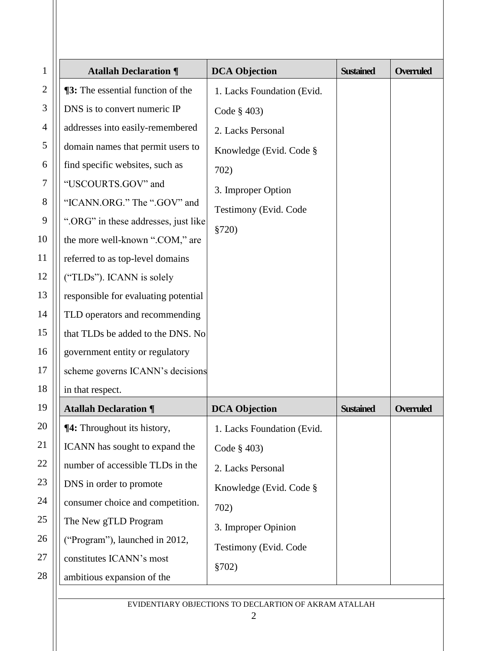| $\mathbf{1}$   | <b>Atallah Declaration ¶</b>             | <b>DCA Objection</b>       | <b>Sustained</b> | <b>Overruled</b> |
|----------------|------------------------------------------|----------------------------|------------------|------------------|
| $\mathbf{2}$   | <b>13:</b> The essential function of the | 1. Lacks Foundation (Evid. |                  |                  |
| 3              | DNS is to convert numeric IP             | Code $\S$ 403)             |                  |                  |
| $\overline{4}$ | addresses into easily-remembered         | 2. Lacks Personal          |                  |                  |
| 5              | domain names that permit users to        | Knowledge (Evid. Code §    |                  |                  |
| 6              | find specific websites, such as          | 702)                       |                  |                  |
| 7              | "USCOURTS.GOV" and                       | 3. Improper Option         |                  |                  |
| 8              | "ICANN.ORG." The ".GOV" and              | Testimony (Evid. Code      |                  |                  |
| 9              | ".ORG" in these addresses, just like     | \$720)                     |                  |                  |
| 10             | the more well-known ".COM," are          |                            |                  |                  |
| 11             | referred to as top-level domains         |                            |                  |                  |
| 12             | ("TLDs"). ICANN is solely                |                            |                  |                  |
| 13             | responsible for evaluating potential     |                            |                  |                  |
| 14             | TLD operators and recommending           |                            |                  |                  |
| 15             | that TLDs be added to the DNS. No        |                            |                  |                  |
| 16             | government entity or regulatory          |                            |                  |                  |
| 17             | scheme governs ICANN's decisions         |                            |                  |                  |
| 18             | in that respect.                         |                            |                  |                  |
| 19             | <b>Atallah Declaration ¶</b>             | <b>DCA Objection</b>       | <b>Sustained</b> | <b>Overruled</b> |
| 20             | ¶4: Throughout its history,              | 1. Lacks Foundation (Evid. |                  |                  |
| 21             | ICANN has sought to expand the           | Code § 403)                |                  |                  |
| 22             | number of accessible TLDs in the         | 2. Lacks Personal          |                  |                  |
| 23             | DNS in order to promote                  | Knowledge (Evid. Code §    |                  |                  |
| 24             | consumer choice and competition.         | 702)                       |                  |                  |
| 25             | The New gTLD Program                     | 3. Improper Opinion        |                  |                  |
| 26             | ("Program"), launched in 2012,           | Testimony (Evid. Code      |                  |                  |
| 27             | constitutes ICANN's most                 | \$702)                     |                  |                  |
| 28             | ambitious expansion of the               |                            |                  |                  |
|                |                                          |                            |                  |                  |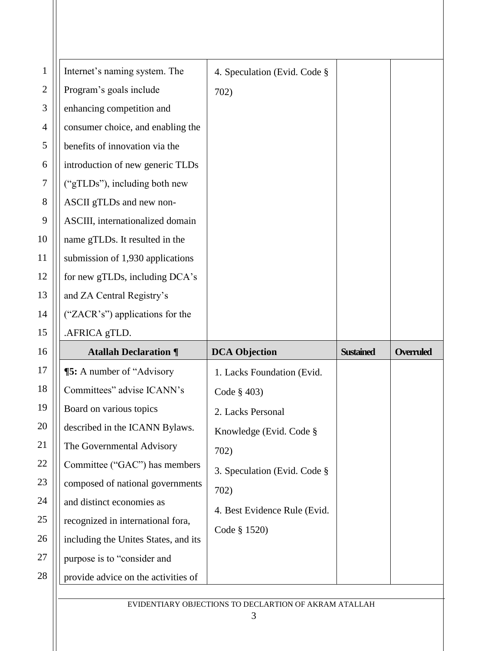| 1            | Internet's naming system. The        | 4. Speculation (Evid. Code § |                  |                  |
|--------------|--------------------------------------|------------------------------|------------------|------------------|
| $\mathbf{2}$ | Program's goals include              | 702)                         |                  |                  |
| 3            | enhancing competition and            |                              |                  |                  |
| 4            | consumer choice, and enabling the    |                              |                  |                  |
| 5            | benefits of innovation via the       |                              |                  |                  |
| 6            | introduction of new generic TLDs     |                              |                  |                  |
| 7            | ("gTLDs"), including both new        |                              |                  |                  |
| 8            | ASCII gTLDs and new non-             |                              |                  |                  |
| 9            | ASCIII, internationalized domain     |                              |                  |                  |
| 10           | name gTLDs. It resulted in the       |                              |                  |                  |
| 11           | submission of 1,930 applications     |                              |                  |                  |
| 12           | for new gTLDs, including DCA's       |                              |                  |                  |
| 13           | and ZA Central Registry's            |                              |                  |                  |
| 14           | ("ZACR's") applications for the      |                              |                  |                  |
|              |                                      |                              |                  |                  |
| 15           | .AFRICA gTLD.                        |                              |                  |                  |
| 16           | <b>Atallah Declaration ¶</b>         | <b>DCA Objection</b>         | <b>Sustained</b> | <b>Overruled</b> |
| 17           | <b>[5:</b> A number of "Advisory"    | 1. Lacks Foundation (Evid.   |                  |                  |
| 18           | Committees" advise ICANN's           | Code $§$ 403)                |                  |                  |
| 19           | Board on various topics              | 2. Lacks Personal            |                  |                  |
| 20           | described in the ICANN Bylaws.       | Knowledge (Evid. Code §      |                  |                  |
| 21           | The Governmental Advisory            | 702)                         |                  |                  |
| 22           | Committee ("GAC") has members        |                              |                  |                  |
| 23           | composed of national governments     | 3. Speculation (Evid. Code § |                  |                  |
| 24           | and distinct economies as            | 702)                         |                  |                  |
| 25           | recognized in international fora,    | 4. Best Evidence Rule (Evid. |                  |                  |
| 26           | including the Unites States, and its | Code § 1520)                 |                  |                  |
| 27           | purpose is to "consider and          |                              |                  |                  |
| 28           | provide advice on the activities of  |                              |                  |                  |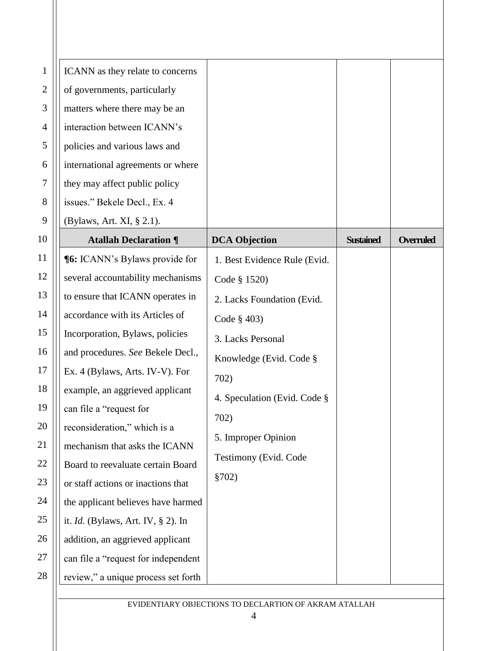| $\mathbf{1}$ | ICANN as they relate to concerns      |                              |                  |                  |
|--------------|---------------------------------------|------------------------------|------------------|------------------|
| $\mathbf{2}$ | of governments, particularly          |                              |                  |                  |
| 3            | matters where there may be an         |                              |                  |                  |
| 4            | interaction between ICANN's           |                              |                  |                  |
| 5            | policies and various laws and         |                              |                  |                  |
| 6            | international agreements or where     |                              |                  |                  |
| 7            | they may affect public policy         |                              |                  |                  |
| 8            | issues." Bekele Decl., Ex. 4          |                              |                  |                  |
| 9            | (Bylaws, Art. XI, § 2.1).             |                              |                  |                  |
| 10           | <b>Atallah Declaration ¶</b>          | <b>DCA Objection</b>         | <b>Sustained</b> | <b>Overruled</b> |
| 11           | <b>[6:</b> ICANN's Bylaws provide for | 1. Best Evidence Rule (Evid. |                  |                  |
| 12           | several accountability mechanisms     | Code § 1520)                 |                  |                  |
| 13           | to ensure that ICANN operates in      | 2. Lacks Foundation (Evid.   |                  |                  |
| 14           | accordance with its Articles of       | Code $§$ 403)                |                  |                  |
| 15           | Incorporation, Bylaws, policies       | 3. Lacks Personal            |                  |                  |
| 16           | and procedures. See Bekele Decl.,     | Knowledge (Evid. Code §      |                  |                  |
| 17           | Ex. 4 (Bylaws, Arts. IV-V). For       | 702)                         |                  |                  |
| 18           | example, an aggrieved applicant       | 4. Speculation (Evid. Code § |                  |                  |
| 19           | can file a "request for               | 702)                         |                  |                  |
| 20           | reconsideration," which is a          | 5. Improper Opinion          |                  |                  |
| 21           | mechanism that asks the ICANN         | Testimony (Evid. Code        |                  |                  |
| 22           | Board to reevaluate certain Board     |                              |                  |                  |
| 23           | or staff actions or inactions that    | \$702)                       |                  |                  |
| 24           | the applicant believes have harmed    |                              |                  |                  |
| 25           | it. Id. (Bylaws, Art. IV, § 2). In    |                              |                  |                  |
| 26           | addition, an aggrieved applicant      |                              |                  |                  |
| 27           | can file a "request for independent   |                              |                  |                  |
| 28           | review," a unique process set forth   |                              |                  |                  |
|              |                                       |                              |                  |                  |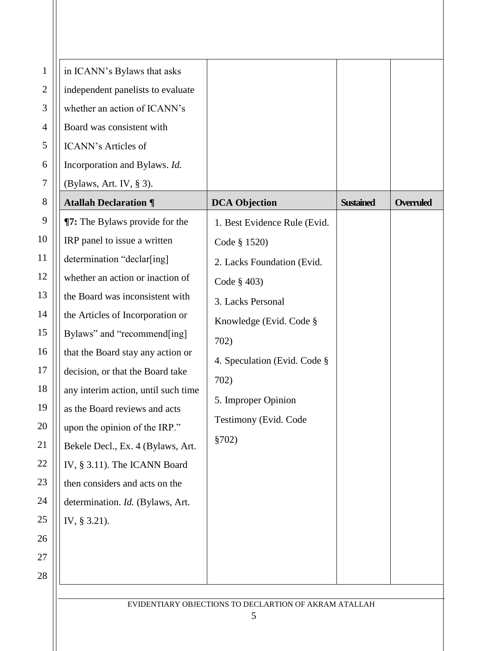| $\mathbf{1}$   | in ICANN's Bylaws that asks           |                                                       |                  |                  |
|----------------|---------------------------------------|-------------------------------------------------------|------------------|------------------|
| $\overline{2}$ | independent panelists to evaluate     |                                                       |                  |                  |
| 3              | whether an action of ICANN's          |                                                       |                  |                  |
| 4              | Board was consistent with             |                                                       |                  |                  |
| 5              | <b>ICANN's Articles of</b>            |                                                       |                  |                  |
| 6              | Incorporation and Bylaws. Id.         |                                                       |                  |                  |
| $\tau$         | (Bylaws, Art. IV, § 3).               |                                                       |                  |                  |
| 8              | <b>Atallah Declaration ¶</b>          | <b>DCA Objection</b>                                  | <b>Sustained</b> | <b>Overruled</b> |
| 9              | <b>T7:</b> The Bylaws provide for the | 1. Best Evidence Rule (Evid.                          |                  |                  |
| 10             | IRP panel to issue a written          | Code § 1520)                                          |                  |                  |
| 11             | determination "declar[ing]            | 2. Lacks Foundation (Evid.                            |                  |                  |
| 12             | whether an action or inaction of      | Code $\S$ 403)                                        |                  |                  |
| 13             | the Board was inconsistent with       | 3. Lacks Personal                                     |                  |                  |
| 14             | the Articles of Incorporation or      | Knowledge (Evid. Code §                               |                  |                  |
| 15             | Bylaws" and "recommend[ing]           | 702)                                                  |                  |                  |
| 16             | that the Board stay any action or     | 4. Speculation (Evid. Code §                          |                  |                  |
| 17             | decision, or that the Board take      | 702)                                                  |                  |                  |
| 18             | any interim action, until such time   | 5. Improper Opinion                                   |                  |                  |
| 19             | as the Board reviews and acts         |                                                       |                  |                  |
| 20             | upon the opinion of the IRP."         | Testimony (Evid. Code                                 |                  |                  |
| 21             | Bekele Decl., Ex. 4 (Bylaws, Art.     | \$702)                                                |                  |                  |
| 22             | IV, § 3.11). The ICANN Board          |                                                       |                  |                  |
| 23             | then considers and acts on the        |                                                       |                  |                  |
| 24             | determination. Id. (Bylaws, Art.      |                                                       |                  |                  |
| 25             | IV, § 3.21).                          |                                                       |                  |                  |
| 26             |                                       |                                                       |                  |                  |
| 27             |                                       |                                                       |                  |                  |
| 28             |                                       |                                                       |                  |                  |
|                |                                       | EVIDENTIARY OBJECTIONS TO DECLARTION OF AKRAM ATALLAH |                  |                  |
|                |                                       |                                                       |                  |                  |

Ш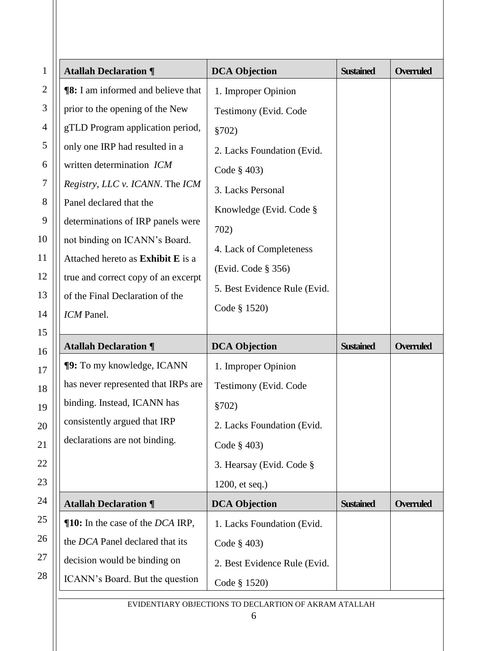| $\mathbf{1}$   | <b>Atallah Declaration ¶</b>                | <b>DCA Objection</b>         | <b>Sustained</b> | <b>Overruled</b> |
|----------------|---------------------------------------------|------------------------------|------------------|------------------|
| $\overline{2}$ | <b>18:</b> I am informed and believe that   | 1. Improper Opinion          |                  |                  |
| 3              | prior to the opening of the New             | Testimony (Evid. Code        |                  |                  |
| 4              | gTLD Program application period,            | \$702)                       |                  |                  |
| 5              | only one IRP had resulted in a              | 2. Lacks Foundation (Evid.   |                  |                  |
| 6              | written determination ICM                   | Code $\S$ 403)               |                  |                  |
| 7              | Registry, LLC v. ICANN. The ICM             | 3. Lacks Personal            |                  |                  |
| 8              | Panel declared that the                     | Knowledge (Evid. Code §      |                  |                  |
| 9              | determinations of IRP panels were           | 702)                         |                  |                  |
| 10             | not binding on ICANN's Board.               | 4. Lack of Completeness      |                  |                  |
| 11             | Attached hereto as Exhibit E is a           | (Evid. Code § 356)           |                  |                  |
| 12             | true and correct copy of an excerpt         | 5. Best Evidence Rule (Evid. |                  |                  |
| 13             | of the Final Declaration of the             | Code § 1520)                 |                  |                  |
| 14             | ICM Panel.                                  |                              |                  |                  |
| 15             | <b>Atallah Declaration ¶</b>                | <b>DCA Objection</b>         | <b>Sustained</b> | <b>Overruled</b> |
| 16             | <b>[9:</b> To my knowledge, ICANN           |                              |                  |                  |
| 17             | has never represented that IRPs are         | 1. Improper Opinion          |                  |                  |
| 18             | binding. Instead, ICANN has                 | Testimony (Evid. Code        |                  |                  |
| 19             | consistently argued that IRP                | §702)                        |                  |                  |
| 20             | declarations are not binding.               | 2. Lacks Foundation (Evid.   |                  |                  |
| 21             |                                             | Code § 403)                  |                  |                  |
| 22             |                                             | 3. Hearsay (Evid. Code §     |                  |                  |
| 23             |                                             | 1200, et seq.)               |                  |                  |
| 24             | <b>Atallah Declaration ¶</b>                | <b>DCA Objection</b>         | <b>Sustained</b> | <b>Overruled</b> |
| 25             | $\P$ 10: In the case of the <i>DCA</i> IRP, | 1. Lacks Foundation (Evid.   |                  |                  |
| 26             | the DCA Panel declared that its             | Code $\S$ 403)               |                  |                  |
|                |                                             |                              |                  |                  |
| 27             | decision would be binding on                | 2. Best Evidence Rule (Evid. |                  |                  |
| 28             | ICANN's Board. But the question             | Code § 1520)                 |                  |                  |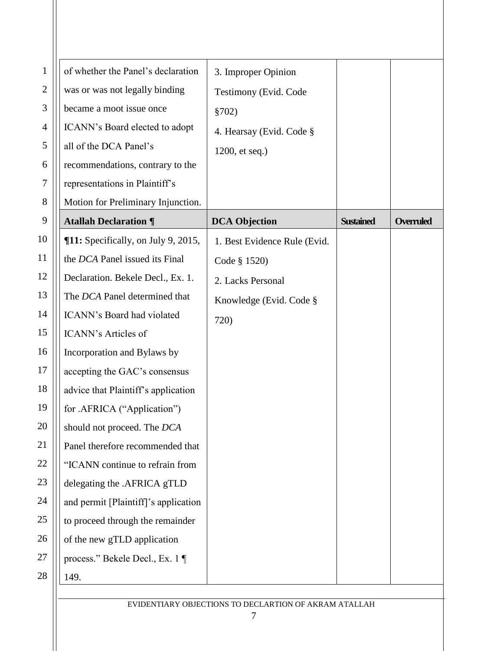| $\mathbf 1$    | of whether the Panel's declaration         | 3. Improper Opinion          |                  |                  |
|----------------|--------------------------------------------|------------------------------|------------------|------------------|
| $\overline{2}$ | was or was not legally binding             | Testimony (Evid. Code        |                  |                  |
| 3              | became a moot issue once                   | \$702)                       |                  |                  |
| 4              | ICANN's Board elected to adopt             | 4. Hearsay (Evid. Code §     |                  |                  |
| 5              | all of the DCA Panel's                     | 1200, et seq.)               |                  |                  |
| 6              | recommendations, contrary to the           |                              |                  |                  |
| 7              | representations in Plaintiff's             |                              |                  |                  |
| 8              | Motion for Preliminary Injunction.         |                              |                  |                  |
| 9              | <b>Atallah Declaration ¶</b>               | <b>DCA Objection</b>         | <b>Sustained</b> | <b>Overruled</b> |
| 10             | <b>[11:</b> Specifically, on July 9, 2015, | 1. Best Evidence Rule (Evid. |                  |                  |
| 11             | the DCA Panel issued its Final             | Code § 1520)                 |                  |                  |
| 12             | Declaration. Bekele Decl., Ex. 1.          | 2. Lacks Personal            |                  |                  |
| 13             | The DCA Panel determined that              | Knowledge (Evid. Code §      |                  |                  |
| 14             | ICANN's Board had violated                 | 720)                         |                  |                  |
| 15             | <b>ICANN's Articles of</b>                 |                              |                  |                  |
| 16             | Incorporation and Bylaws by                |                              |                  |                  |
| 17             | accepting the GAC's consensus              |                              |                  |                  |
| 18             | advice that Plaintiff's application        |                              |                  |                  |
| 19             | for .AFRICA ("Application")                |                              |                  |                  |
| 20             | should not proceed. The DCA                |                              |                  |                  |
| 21             | Panel therefore recommended that           |                              |                  |                  |
| 22             | "ICANN continue to refrain from            |                              |                  |                  |
| 23             | delegating the .AFRICA gTLD                |                              |                  |                  |
| 24             | and permit [Plaintiff]'s application       |                              |                  |                  |
| $25\,$         | to proceed through the remainder           |                              |                  |                  |
| 26             | of the new gTLD application                |                              |                  |                  |
| 27             | process." Bekele Decl., Ex. 1 ¶            |                              |                  |                  |
| 28             | 149.                                       |                              |                  |                  |
|                |                                            |                              |                  |                  |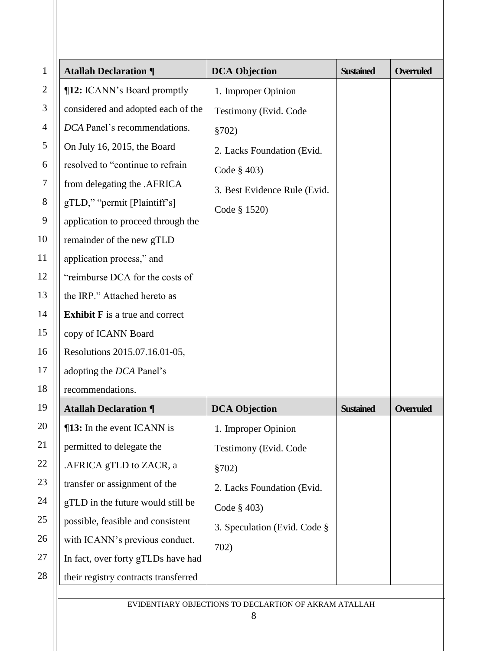| $\mathbf{1}$   | <b>Atallah Declaration ¶</b>           | <b>DCA Objection</b>         | <b>Sustained</b> | <b>Overruled</b> |
|----------------|----------------------------------------|------------------------------|------------------|------------------|
| $\overline{2}$ | ¶12: ICANN's Board promptly            | 1. Improper Opinion          |                  |                  |
| 3              | considered and adopted each of the     | Testimony (Evid. Code        |                  |                  |
| 4              | DCA Panel's recommendations.           | \$702)                       |                  |                  |
| 5              | On July 16, 2015, the Board            | 2. Lacks Foundation (Evid.   |                  |                  |
| 6              | resolved to "continue to refrain       | Code $\S$ 403)               |                  |                  |
| $\tau$         | from delegating the .AFRICA            | 3. Best Evidence Rule (Evid. |                  |                  |
| 8              | gTLD," "permit [Plaintiff's]           | Code § 1520)                 |                  |                  |
| 9              | application to proceed through the     |                              |                  |                  |
| 10             | remainder of the new gTLD              |                              |                  |                  |
| 11             | application process," and              |                              |                  |                  |
| 12             | "reimburse DCA for the costs of        |                              |                  |                  |
| 13             | the IRP." Attached hereto as           |                              |                  |                  |
| 14             | <b>Exhibit F</b> is a true and correct |                              |                  |                  |
| 15             | copy of ICANN Board                    |                              |                  |                  |
| 16             | Resolutions 2015.07.16.01-05,          |                              |                  |                  |
| 17             | adopting the DCA Panel's               |                              |                  |                  |
| 18             | recommendations.                       |                              |                  |                  |
| 19             | <b>Atallah Declaration ¶</b>           | <b>DCA Objection</b>         | <b>Sustained</b> | <b>Overruled</b> |
| 20             | ¶13: In the event ICANN is             | 1. Improper Opinion          |                  |                  |
| 21             | permitted to delegate the              | Testimony (Evid. Code        |                  |                  |
| 22             | .AFRICA gTLD to ZACR, a                | \$702)                       |                  |                  |
| 23             | transfer or assignment of the          | 2. Lacks Foundation (Evid.   |                  |                  |
| 24             | gTLD in the future would still be      | Code § 403)                  |                  |                  |
| 25             | possible, feasible and consistent      | 3. Speculation (Evid. Code § |                  |                  |
| 26             | with ICANN's previous conduct.         | 702)                         |                  |                  |
| 27             | In fact, over forty gTLDs have had     |                              |                  |                  |
| 28             | their registry contracts transferred   |                              |                  |                  |
|                |                                        |                              |                  |                  |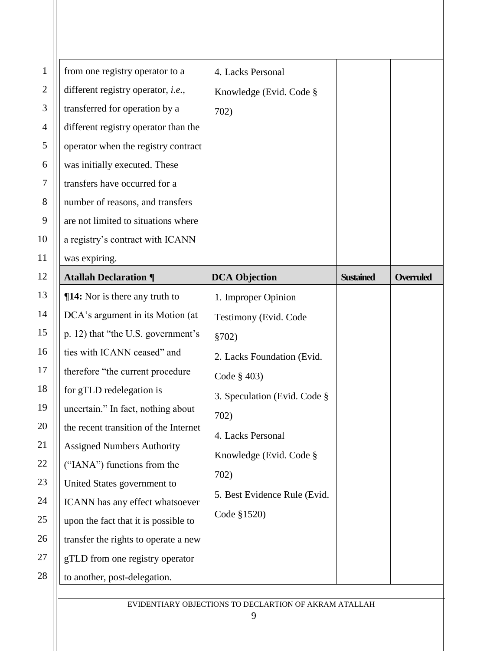| $\mathbf{1}$   | from one registry operator to a            | 4. Lacks Personal            |                  |                  |
|----------------|--------------------------------------------|------------------------------|------------------|------------------|
| $\mathfrak{2}$ | different registry operator, <i>i.e.</i> , | Knowledge (Evid. Code §      |                  |                  |
| 3              | transferred for operation by a             | 702)                         |                  |                  |
| $\overline{4}$ | different registry operator than the       |                              |                  |                  |
| 5              | operator when the registry contract        |                              |                  |                  |
| 6              | was initially executed. These              |                              |                  |                  |
| 7              | transfers have occurred for a              |                              |                  |                  |
| $8\,$          | number of reasons, and transfers           |                              |                  |                  |
| 9              | are not limited to situations where        |                              |                  |                  |
| 10             | a registry's contract with ICANN           |                              |                  |                  |
| 11             | was expiring.                              |                              |                  |                  |
| 12             | <b>Atallah Declaration ¶</b>               | <b>DCA Objection</b>         | <b>Sustained</b> | <b>Overruled</b> |
| 13             | <b>¶14:</b> Nor is there any truth to      | 1. Improper Opinion          |                  |                  |
| 14             | DCA's argument in its Motion (at           | Testimony (Evid. Code        |                  |                  |
| 15             | p. 12) that "the U.S. government's         | \$702)                       |                  |                  |
| 16             | ties with ICANN ceased" and                | 2. Lacks Foundation (Evid.   |                  |                  |
| 17             | therefore "the current procedure           | Code § 403)                  |                  |                  |
| 18             | for gTLD redelegation is                   | 3. Speculation (Evid. Code § |                  |                  |
| 19             | uncertain." In fact, nothing about         | 702)                         |                  |                  |
| 20             | the recent transition of the Internet      | 4. Lacks Personal            |                  |                  |
| 21             | <b>Assigned Numbers Authority</b>          | Knowledge (Evid. Code §      |                  |                  |
| 22             | ("IANA") functions from the                | 702)                         |                  |                  |
| 23             | United States government to                |                              |                  |                  |
| 24             | ICANN has any effect whatsoever            | 5. Best Evidence Rule (Evid. |                  |                  |
| 25             | upon the fact that it is possible to       | Code §1520)                  |                  |                  |
| 26             | transfer the rights to operate a new       |                              |                  |                  |
| 27             | gTLD from one registry operator            |                              |                  |                  |
| 28             | to another, post-delegation.               |                              |                  |                  |
|                |                                            |                              |                  |                  |